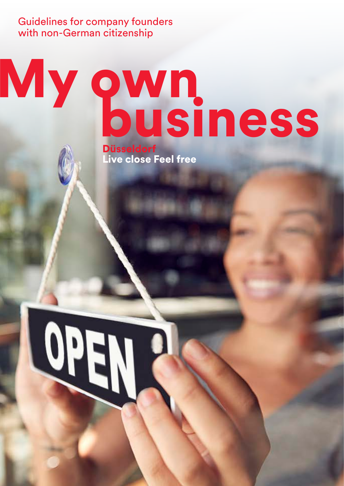Guidelines for company founders with non-German citizenship

# My own<br>business Düsseldorf

Düsseldorf<br>Live close Feel free

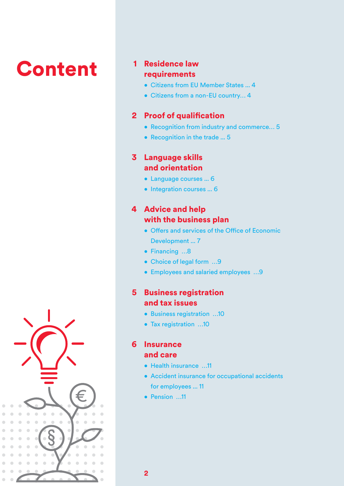## **Content**

#### requirements **1** Residence law

- Citizens from EU Member States ... 4
- Citizens from a non-EU country… 4

#### 2 Proof of qualification

- Recognition from industry and commerce… 5
- Recognition in the trade ... 5

#### Language skills 3 and orientation

- Language courses ... 6
- Integration courses ... 6

#### **4 Advice and help** with the business plan

- • Offers and services of the Office of Economic Development ... 7
- Financing …8
- Choice of legal form …9
- Employees and salaried employees …9

#### **5** Business registration and tax issues

- Business registration …10
- Tax registration …10

#### **6** Insurance and care

- Health insurance …11
- Accident insurance for occupational accidents for employees ... 11
- Pension …11

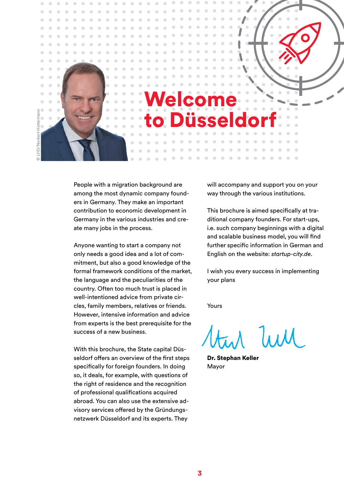

People with a migration background are among the most dynamic company founders in Germany. They make an important contribution to economic development in Germany in the various industries and create many jobs in the process.

Anyone wanting to start a company not only needs a good idea and a lot of commitment, but also a good knowledge of the formal framework conditions of the market, the language and the peculiarities of the country. Often too much trust is placed in well-intentioned advice from private circles, family members, relatives or friends. However, intensive information and advice from experts is the best prerequisite for the success of a new business.

With this brochure, the State capital Düsseldorf offers an overview of the first steps specifically for foreign founders. In doing so, it deals, for example, with questions of the right of residence and the recognition of professional qualifications acquired abroad. You can also use the extensive advisory services offered by the Gründungsnetzwerk Düsseldorf and its experts. They

will accompany and support you on your way through the various institutions.

This brochure is aimed specifically at traditional company founders. For start-ups, i.e. such company beginnings with a digital and scalable business model, you will find further specific information in German and English on the website: *startup-city.de*.

I wish you every success in implementing your plans

Yours

 $J_{\lambda\lambda\lambda}$ 

Dr. Stephan Keller Mayor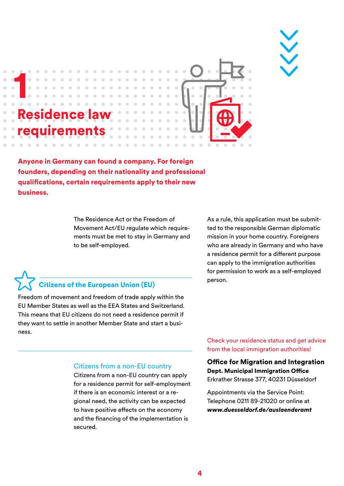



Anyone in Germany can found a company. For foreign founders, depending on their nationality and professional qualifications, certain requirements apply to their new business.

> The Residence Act or the Freedom of Movement Act/EU regulate which requirements must be met to stay in Germany and to be self-employed.

As a rule, this application must be submitted to the responsible German diplomatic mission in your home country. Foreigners who are already in Germany and who have a residence permit for a different purpose can apply to the immigration authorities for permission to work as a self-employed

#### **Citizens of the European Union (EU)** person.

Freedom of movement and freedom of trade apply within the EU Member States as well as the EEA States and Switzerland. This means that EU citizens do not need a residence permit if they want to settle in another Member State and start a business.

> Check your residence status and get advice from the local immigration authorities!

Office for Migration and Integration Dept. Municipal Immigration Office Erkrather Strasse 377, 40231 Düsseldorf

Appointments via the Service Point: Telephone 0211 89-21020 or online at *www.duesseldorf.de/auslaenderamt*

#### Citizens from a non-EU country

Citizens from a non-EU country can apply for a residence permit for self-employment if there is an economic interest or a regional need, the activity can be expected to have positive effects on the economy and the financing of the implementation is secured.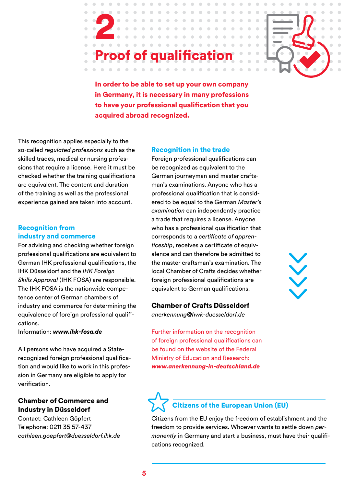## Proof of qualification

In order to be able to set up your own company in Germany, it is necessary in many professions to have your professional qualification that you acquired abroad recognized.

This recognition applies especially to the so-called *regulated professions* such as the skilled trades, medical or nursing professions that require a license. Here it must be checked whether the training qualifications are equivalent. The content and duration of the training as well as the professional experience gained are taken into account.

2

#### Recognition from industry and commerce

For advising and checking whether foreign professional qualifications are equivalent to German IHK professional qualifications, the IHK Düsseldorf and the *IHK Foreign Skills Approval* (IHK FOSA) are responsible. The IHK FOSA is the nationwide competence center of German chambers of industry and commerce for determining the equivalence of foreign professional qualifications.

Information: *www.ihk-fosa.de*

All persons who have acquired a Staterecognized foreign professional qualification and would like to work in this profession in Germany are eligible to apply for verification.

#### Chamber of Commerce and Industry in Düsseldorf

Contact: Cathleen Göpfert Telephone: 0211 35 57-437 *cathleen.goepfert@duesseldorf.ihk.de* 

#### Recognition in the trade

Foreign professional qualifications can be recognized as equivalent to the German journeyman and master craftsman's examinations. Anyone who has a professional qualification that is considered to be equal to the German *Master's examination* can independently practice a trade that requires a license. Anyone who has a professional qualification that corresponds to a *certificate of apprenticeship*, receives a certificate of equivalence and can therefore be admitted to the master craftsman's examination. The local Chamber of Crafts decides whether foreign professional qualifications are equivalent to German qualifications.

#### Chamber of Crafts Düsseldorf

*anerkennung@hwk-duesseldorf.de* 

Further information on the recognition of foreign professional qualifications can be found on the website of the Federal Ministry of Education and Research: *www.anerkennung-in-deutschland.de*

## $\checkmark$

## Citizens of the European Union (EU)

Citizens from the EU enjoy the freedom of establishment and the freedom to provide services. Whoever wants to settle down *permanently* in Germany and start a business, must have their qualifications recognized.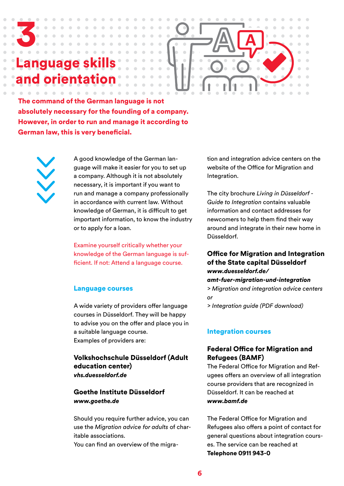### nguage orientat

3

The command of the German language is not absolutely necessary for the founding of a company. However, in order to run and manage it according to German law, this is very beneficial.

A good knowledge of the German language will make it easier for you to set up a company. Although it is not absolutely necessary, it is important if you want to run and manage a company professionally in accordance with current law. Without knowledge of German, it is difficult to get important information, to know the industry or to apply for a loan.

 $\alpha$ 

 $\sqrt{2}$ 

Examine yourself critically whether your knowledge of the German language is sufficient. If not: Attend a language course.

#### Language courses

A wide variety of providers offer language courses in Düsseldorf. They will be happy to advise you on the offer and place you in a suitable language course. Examples of providers are:

#### Volkshochschule Düsseldorf (Adult education center) *vhs.duesseldorf.de*

#### Goethe Institute Düsseldorf *www.goethe.de*

Should you require further advice, you can use the *Migration advice for adults* of charitable associations.

You can find an overview of the migra-

tion and integration advice centers on the website of the Office for Migration and Integration.

The city brochure *Living in Düsseldorf - Guide to Integration* contains valuable information and contact addresses for newcomers to help them find their way around and integrate in their new home in Düsseldorf.

#### Office for Migration and Integration of the State capital Düsseldorf *www.duesseldorf.de/*

*amt-fuer-migration-und-integration > Migration and integration advice centers or*

*> Integration guide (PDF download)*

#### Integration courses

#### Federal Office for Migration and Refugees (BAMF)

The Federal Office for Migration and Refugees offers an overview of all integration course providers that are recognized in Düsseldorf. It can be reached at *www.bamf.de* 

The Federal Office for Migration and Refugees also offers a point of contact for general questions about integration courses. The service can be reached at Telephone 0911 943-0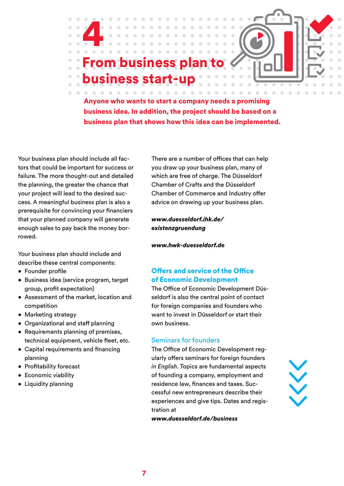## om business pla business start-up



Anyone who wants to start a company needs a promising business idea. In addition, the project should be based on a business plan that shows how this idea can be implemented.

Your business plan should include all factors that could be important for success or failure. The more thought-out and detailed the planning, the greater the chance that your project will lead to the desired success. A meaningful business plan is also a prerequisite for convincing your financiers that your planned company will generate enough sales to pay back the money borrowed.

ó

4

Your business plan should include and describe these central components:

- Founder profile
- • Business idea (service program, target group, profit expectation)
- Assessment of the market, location and competition
- Marketing strategy
- • Organizational and staff planning
- Requirements planning of premises, technical equipment, vehicle fleet, etc.
- Capital requirements and financing planning
- • Profitability forecast
- • Economic viability
- Liquidity planning

There are a number of offices that can help you draw up your business plan, many of which are free of charge. The Düsseldorf Chamber of Crafts and the Düsseldorf Chamber of Commerce and Industry offer advice on drawing up your business plan.

*www.duesseldorf.ihk.de/ existenzgruendung*

*[www.hwk-duesseldorf.de](http://www.hwk-duesseldorf.de/artikel/gruenden-im-handwerk-31,1639,3329.html)*

#### Offers and service of the Office of Economic Development

The Office of Economic Development Düsseldorf is also the central point of contact for foreign companies and founders who want to invest in Düsseldorf or start their own business.

#### Seminars for founders

The Office of Economic Development regularly offers seminars for foreign founders *in English*. Topics are fundamental aspects of founding a company, employment and residence law, finances and taxes. Successful new entrepreneurs describe their experiences and give tips. Dates and registration at



*www.duesseldorf.de/business*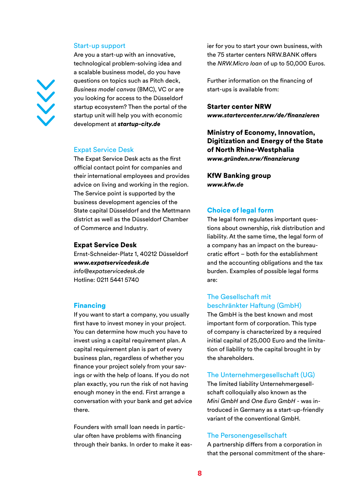#### Start-up support

Are you a start-up with an innovative, technological problem-solving idea and a scalable business model, do you have questions on topics such as Pitch deck, *Business model canvas* (BMC), VC or are you looking for access to the Düsseldorf startup ecosystem? Then the portal of the startup unit will help you with economic development at *startup-city.de*

#### Expat Service Desk

The Expat Service Desk acts as the first official contact point for companies and their international employees and provides advice on living and working in the region. The Service point is supported by the business development agencies of the State capital Düsseldorf and the Mettmann district as well as the Düsseldorf Chamber of Commerce and Industry.

#### Expat Service Desk

Ernst-Schneider-Platz 1, 40212 Düsseldorf *www.expatservicedesk.de info@expatservicedesk.de*  Hotline: 0211 5441 5740

#### Financing

If you want to start a company, you usually first have to invest money in your project. You can determine how much you have to invest using a capital requirement plan. A capital requirement plan is part of every business plan, regardless of whether you finance your project solely from your savings or with the help of loans. If you do not plan exactly, you run the risk of not having enough money in the end. First arrange a conversation with your bank and get advice there.

Founders with small loan needs in particular often have problems with financing through their banks. In order to make it easier for you to start your own business, with the 75 starter centers NRW.BANK offers the *NRW.Micro loan* of up to 50,000 Euros.

Further information on the financing of start-ups is available from:

#### Starter center NRW

*www.startercenter.nrw/de/finanzieren*

Ministry of Economy, Innovation, Digitization and Energy of the State of North Rhine-Westphalia *www.gründen.nrw/finanzierung*

KfW Banking group *www.kfw.de*

#### Choice of legal form

The legal form regulates important questions about ownership, risk distribution and liability. At the same time, the legal form of a company has an impact on the bureaucratic effort – both for the establishment and the accounting obligations and the tax burden. Examples of possible legal forms are:

#### The Gesellschaft mit beschränkter Haftung (GmbH)

The GmbH is the best known and most important form of corporation. This type of company is characterized by a required initial capital of 25,000 Euro and the limitation of liability to the capital brought in by the shareholders.

#### The Unternehmergesellschaft (UG)

The limited liability Unternehmergesellschaft colloquially also known as the *Mini GmbH* and *One Euro GmbH* - was introduced in Germany as a start-up-friendly variant of the conventional GmbH.

#### The Personengesellschaft

A partnership differs from a corporation in that the personal commitment of the share-

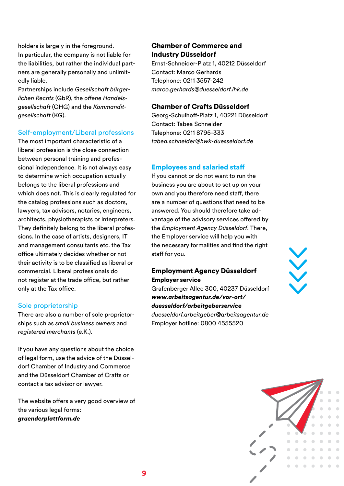holders is largely in the foreground. In particular, the company is not liable for the liabilities, but rather the individual partners are generally personally and unlimitedly liable.

Partnerships include *Gesellschaft bürgerlichen Rechts* (GbR), the *offene Handelsgesellschaft* (OHG) and the *Kommanditgesellschaft* (KG).

#### Self-employment/Liberal professions

The most important characteristic of a liberal profession is the close connection between personal training and professional independence. It is not always easy to determine which occupation actually belongs to the liberal professions and which does not. This is clearly regulated for the catalog professions such as doctors, lawyers, tax advisors, notaries, engineers, architects, physiotherapists or interpreters. They definitely belong to the liberal professions. In the case of artists, designers, IT and management consultants etc. the Tax office ultimately decides whether or not their activity is to be classified as liberal or commercial. Liberal professionals do not register at the trade office, but rather only at the Tax office.

#### Sole proprietorship

There are also a number of sole proprietorships such as *small business owners* and *registered merchants* (e.K.).

If you have any questions about the choice of legal form, use the advice of the Düsseldorf Chamber of Industry and Commerce and the Düsseldorf Chamber of Crafts or contact a tax advisor or lawyer.

The website offers a very good overview of the various legal forms: *gruenderplattform.de*

#### Chamber of Commerce and Industry Düsseldorf

Ernst-Schneider-Platz 1, 40212 Düsseldorf Contact: Marco Gerhards Telephone: 0211 3557-242 *marco.gerhards@duesseldorf.ihk.de*

#### Chamber of Crafts Düsseldorf

Georg-Schulhoff-Platz 1, 40221 Düsseldorf Contact: Tabea Schneider Telephone: 0211 8795-333 *tabea.schneider@hwk-duesseldorf.de*

#### Employees and salaried staff

If you cannot or do not want to run the business you are about to set up on your own and you therefore need staff, there are a number of questions that need to be answered. You should therefore take advantage of the advisory services offered by the *Employment Agency Düsseldorf*. There, the Employer service will help you with the necessary formalities and find the right staff for you.

#### Employment Agency Düsseldorf Employer service

Grafenberger Allee 300, 40237 Düsseldorf *www.arbeitsagentur.de/vor-ort/ duesseldorf/arbeitgeberservice duesseldorf.arbeitgeber@arbeitsagentur.de* Employer hotline: 0800 4555520



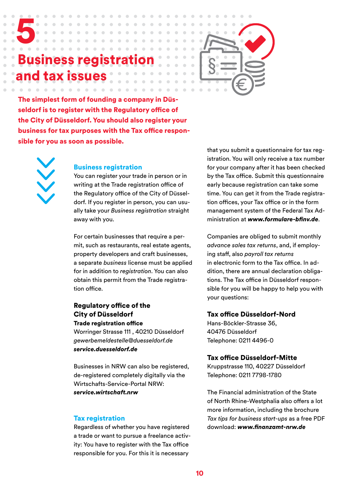## iness regis tax issues



The simplest form of founding a company in Düsseldorf is to register with the Regulatory office of the City of Düsseldorf. You should also register your business for tax purposes with the Tax office responsible for you as soon as possible.

 $\sim$ 



5

#### Business registration

You can register your trade in person or in writing at the Trade registration office of the Regulatory office of the City of Düsseldorf. If you register in person, you can usually take your *Business registration* straight away with you.

For certain businesses that require a permit, such as restaurants, real estate agents, property developers and craft businesses, a separate *business* license must be applied for in addition to *registration*. You can also obtain this permit from the Trade registration office.

#### Regulatory office of the City of Düsseldorf Trade registration office

Worringer Strasse 111 , 40210 Düsseldorf *gewerbemeldestelle@duesseldorf.de service.duesseldorf.de*

Businesses in NRW can also be registered, de-registered completely digitally via the Wirtschafts-Service-Portal NRW: *service.wirtschaft.nrw*

#### Tax registration

Regardless of whether you have registered a trade or want to pursue a freelance activity: You have to register with the Tax office responsible for you. For this it is necessary

that you submit a questionnaire for tax registration. You will only receive a tax number for your company after it has been checked by the Tax office. Submit this questionnaire early because registration can take some time. You can get it from the Trade registration offices, your Tax office or in the form management system of the Federal Tax Administration at *www.formulare-bfinv.de*.

Companies are obliged to submit monthly *advance sales tax returns*, and, if employing staff, also *payroll tax returns* in electronic form to the Tax office. In addition, there are annual declaration obligations. The Tax office in Düsseldorf responsible for you will be happy to help you with your questions:

#### Tax office Düsseldorf-Nord

Hans-Böckler-Strasse 36, 40476 Düsseldorf Telephone: 0211 4496-0

#### Tax office Düsseldorf-Mitte

Kruppstrasse 110, 40227 Düsseldorf Telephone: 0211 7798-1780

The Financial administration of the State of North Rhine-Westphalia also offers a lot more information, including the brochure *Tax tips for business start-ups* as a free PDF download: *www.finanzamt-nrw.de*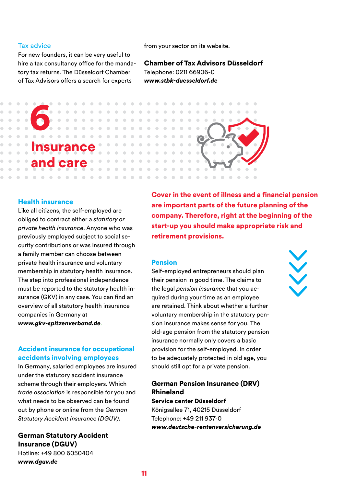#### Tax advice

For new founders, it can be very useful to hire a tax consultancy office for the mandatory tax returns. The Düsseldorf Chamber of Tax Advisors offers a search for experts

from your sector on its website.

Chamber of Tax Advisors Düsseldorf Telephone: 0211 66906-0 *www.stbk-duesseldorf.de* 



#### Health insurance

Like all citizens, the self-employed are obliged to contract either a *statutory or private health insurance*. Anyone who was previously employed subject to social security contributions or was insured through a family member can choose between private health insurance and voluntary membership in statutory health insurance. The step into professional independence must be reported to the statutory health insurance (GKV) in any case. You can find an overview of all statutory health insurance companies in Germany at *www.gkv-spitzenverband.de*.

#### Accident insurance for occupational accidents involving employees

In Germany, salaried employees are insured under the statutory accident insurance scheme through their employers. Which *trade association* is responsible for you and what needs to be observed can be found out by phone or online from the *German Statutory Accident Insurance (DGUV)*.

#### German Statutory Accident Insurance (DGUV) Hotline: +49 800 6050404

*www.dguv.de*

Cover in the event of illness and a financial pension are important parts of the future planning of the company. Therefore, right at the beginning of the start-up you should make appropriate risk and retirement provisions.

#### Pension

Self-employed entrepreneurs should plan their pension in good time. The claims to the legal *pension insurance* that you acquired during your time as an employee are retained. Think about whether a further voluntary membership in the statutory pension insurance makes sense for you. The old-age pension from the statutory pension insurance normally only covers a basic provision for the self-employed. In order to be adequately protected in old age, you should still opt for a private pension.

#### German Pension Insurance (DRV) Rhineland

Service center Düsseldorf Königsallee 71, 40215 Düsseldorf Telephone: +49 211 937-0 *www.deutsche-rentenversicherung.de*